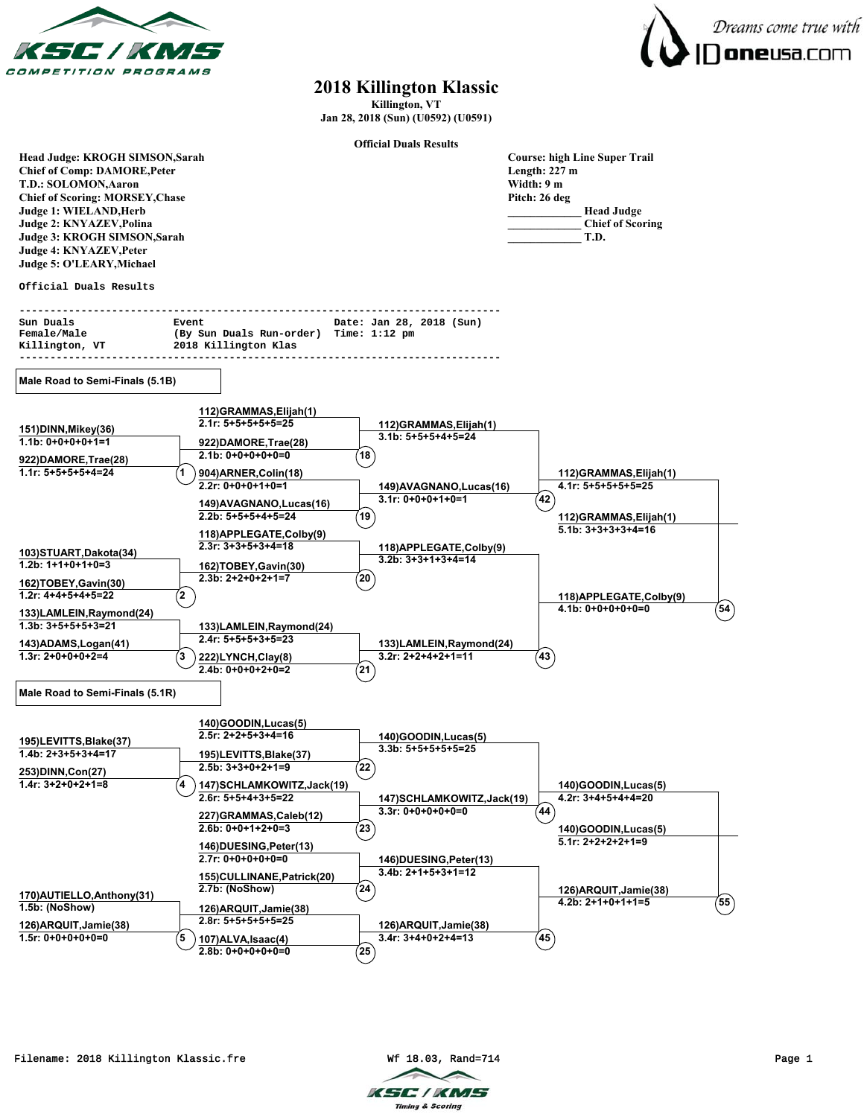



## **2018 Killington Klassic**

**Killington, VT Jan 28, 2018 (Sun) (U0592) (U0591)**

**Official Duals Results**

| Head Judge: KROGH SIMSON, Sarah                |                                                  |                                                | <b>Course: high Line Super Trail</b>      |  |
|------------------------------------------------|--------------------------------------------------|------------------------------------------------|-------------------------------------------|--|
| <b>Chief of Comp: DAMORE, Peter</b>            |                                                  |                                                | Length: $227 \text{ m}$                   |  |
| T.D.: SOLOMON, Aaron                           |                                                  |                                                | Width: 9 m                                |  |
| <b>Chief of Scoring: MORSEY, Chase</b>         |                                                  |                                                | Pitch: 26 deg                             |  |
| Judge 1: WIELAND, Herb                         |                                                  |                                                | <b>Head Judge</b>                         |  |
| Judge 2: KNYAZEV, Polina                       |                                                  |                                                | <b>Chief of Scoring</b>                   |  |
| Judge 3: KROGH SIMSON, Sarah                   |                                                  |                                                | T.D.                                      |  |
| Judge 4: KNYAZEV, Peter                        |                                                  |                                                |                                           |  |
| Judge 5: O'LEARY, Michael                      |                                                  |                                                |                                           |  |
|                                                |                                                  |                                                |                                           |  |
| Official Duals Results                         |                                                  |                                                |                                           |  |
| Sun Duals                                      | Event                                            | Date: Jan 28, 2018 (Sun)                       |                                           |  |
| Female/Male                                    | (By Sun Duals Run-order) Time: 1:12 pm           |                                                |                                           |  |
| Killington, VT                                 | 2018 Killington Klas                             |                                                |                                           |  |
|                                                |                                                  |                                                |                                           |  |
| Male Road to Semi-Finals (5.1B)                |                                                  |                                                |                                           |  |
|                                                |                                                  |                                                |                                           |  |
|                                                | 112) GRAMMAS, Elijah (1)<br>$2.1r: 5+5+5+5+5=25$ | 112) GRAMMAS, Elijah (1)                       |                                           |  |
| 151) DINN, Mikey(36)                           |                                                  | $3.1b: 5+5+5+4+5=24$                           |                                           |  |
| $1.1b: 0+0+0+0+1=1$                            | 922)DAMORE, Trae(28)                             |                                                |                                           |  |
| 922)DAMORE, Trae(28)                           | $2.1b: 0+0+0+0+0=0$                              | 18                                             |                                           |  |
| $1.1r: 5+5+5+5+4=24$                           | 904) ARNER, Colin (18)                           |                                                | 112)GRAMMAS,Elijah(1)                     |  |
|                                                | $2.2r: 0+0+0+1+0=1$                              | 149) AVAGNANO, Lucas (16)                      | 4.1r: 5+5+5+5+5=25                        |  |
|                                                |                                                  | $3.1r: 0+0+0+1+0=1$                            | 42                                        |  |
|                                                | 149) AVAGNANO, Lucas (16)                        |                                                |                                           |  |
|                                                | $2.2b: 5+5+5+4+5=24$                             | 19                                             | 112)GRAMMAS,Elijah(1)                     |  |
|                                                | 118) APPLEGATE, Colby (9)                        |                                                | $5.1b: 3+3+3+3+4=16$                      |  |
|                                                | $2.3r: 3+3+5+3+4=18$                             | 118) APPLEGATE, Colby(9)                       |                                           |  |
| 103)STUART, Dakota (34)                        |                                                  | $3.2b: 3+3+1+3+4=14$                           |                                           |  |
| $1.2b: 1+1+0+1+0=3$                            | 162)TOBEY, Gavin(30)                             |                                                |                                           |  |
| 162)TOBEY, Gavin(30)                           | $2.3b: 2+2+0+2+1=7$                              | (20)                                           |                                           |  |
| $1.2r: 4+4+5+4+5=22$                           | $\mathbf{2}$                                     |                                                | 118) APPLEGATE, Colby (9)                 |  |
|                                                |                                                  |                                                | $54^\circ$<br>$4.1b: 0+0+0+0+0=0$         |  |
| 133)LAMLEIN, Raymond(24)                       |                                                  |                                                |                                           |  |
| $1.3b: 3+5+5+5+3=21$                           | 133)LAMLEIN, Raymond(24)                         |                                                |                                           |  |
| 143) ADAMS, Logan(41)                          | $2.4r: 5+5+5+3+5=23$                             | 133)LAMLEIN, Raymond(24)                       |                                           |  |
| $1.3r: 2+0+0+0+2=4$                            | 3<br>222)LYNCH,Clay(8)                           | $3.2r: 2+2+4+2+1=11$                           | 43                                        |  |
|                                                | $2.4b: 0+0+0+2+0=2$                              | 21)                                            |                                           |  |
| Male Road to Semi-Finals (5.1R)                |                                                  |                                                |                                           |  |
|                                                |                                                  |                                                |                                           |  |
|                                                | 140)GOODIN, Lucas(5)                             |                                                |                                           |  |
|                                                | $2.5r: 2+2+5+3+4=16$                             | 140)GOODIN, Lucas(5)                           |                                           |  |
| 195)LEVITTS, Blake(37)<br>$1.4b: 2+3+5+3+4=17$ |                                                  | $3.3b: 5+5+5+5+5=25$                           |                                           |  |
|                                                | 195)LEVITTS, Blake(37)                           |                                                |                                           |  |
| 253)DINN,Con(27)                               | $2.5b: 3+3+0+2+1=9$                              | $^{22}$                                        |                                           |  |
| 1.4r: 3+2+0+2+1=8                              | 147) SCHLAMKOWITZ, Jack(19)                      |                                                | 140)GOODIN, Lucas(5)                      |  |
|                                                | $2.6r: 5+5+4+3+5=22$                             | 147) SCHLAMKOWITZ, Jack(19)                    | 4.2r: 3+4+5+4+4=20                        |  |
|                                                | 227)GRAMMAS,Caleb(12)                            | $3.3r: 0+0+0+0+0=0$                            | 44                                        |  |
|                                                | $2.6b: 0+0+1+2+0=3$                              | 23)                                            | 140)GOODIN, Lucas(5)                      |  |
|                                                | 146)DUESING, Peter(13)                           |                                                | $5.1r: 2+2+2+2+1=9$                       |  |
|                                                | $2.7r: 0+0+0+0+0=0$                              |                                                |                                           |  |
|                                                |                                                  | 146)DUESING, Peter(13)<br>$3.4b: 2+1+5+3+1=12$ |                                           |  |
|                                                | 155)CULLINANE, Patrick(20)                       |                                                |                                           |  |
| 170) AUTIELLO, Anthony (31)                    | 2.7b: (NoShow)                                   | (24)                                           | 126) ARQUIT, Jamie (38)                   |  |
| 1.5b: (NoShow)                                 | 126) ARQUIT, Jamie (38)                          |                                                | $\left( 55\right)$<br>$4.2b: 2+1+0+1+1=5$ |  |
|                                                | $2.8r: 5+5+5+5+5=25$                             |                                                |                                           |  |
| 126) ARQUIT, Jamie (38)                        |                                                  | 126) ARQUIT, Jamie (38)                        |                                           |  |
| $1.5r: 0+0+0+0+0=0$                            | 5<br>107) ALVA, Isaac(4)                         | $3.4r: 3+4+0+2+4=13$                           | $45^{\circ}$                              |  |
|                                                | $2.8b: 0+0+0+0+0=0$                              | (25)                                           |                                           |  |

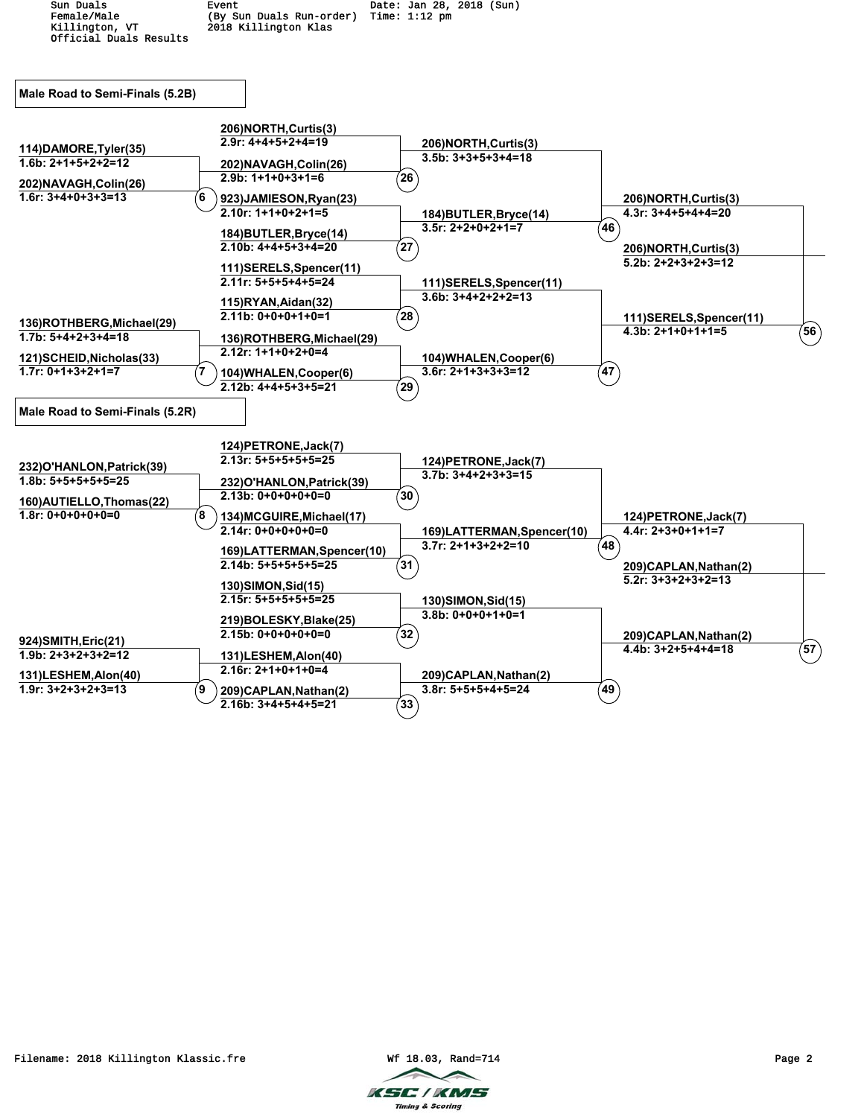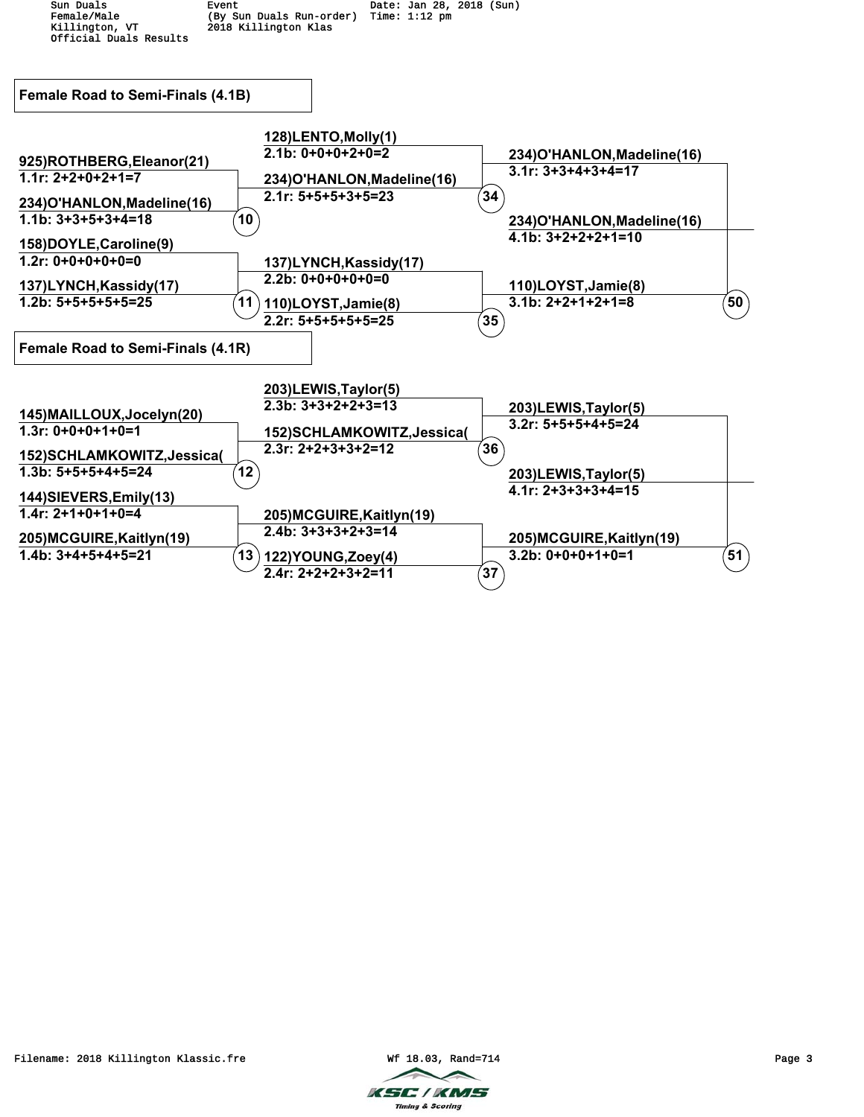

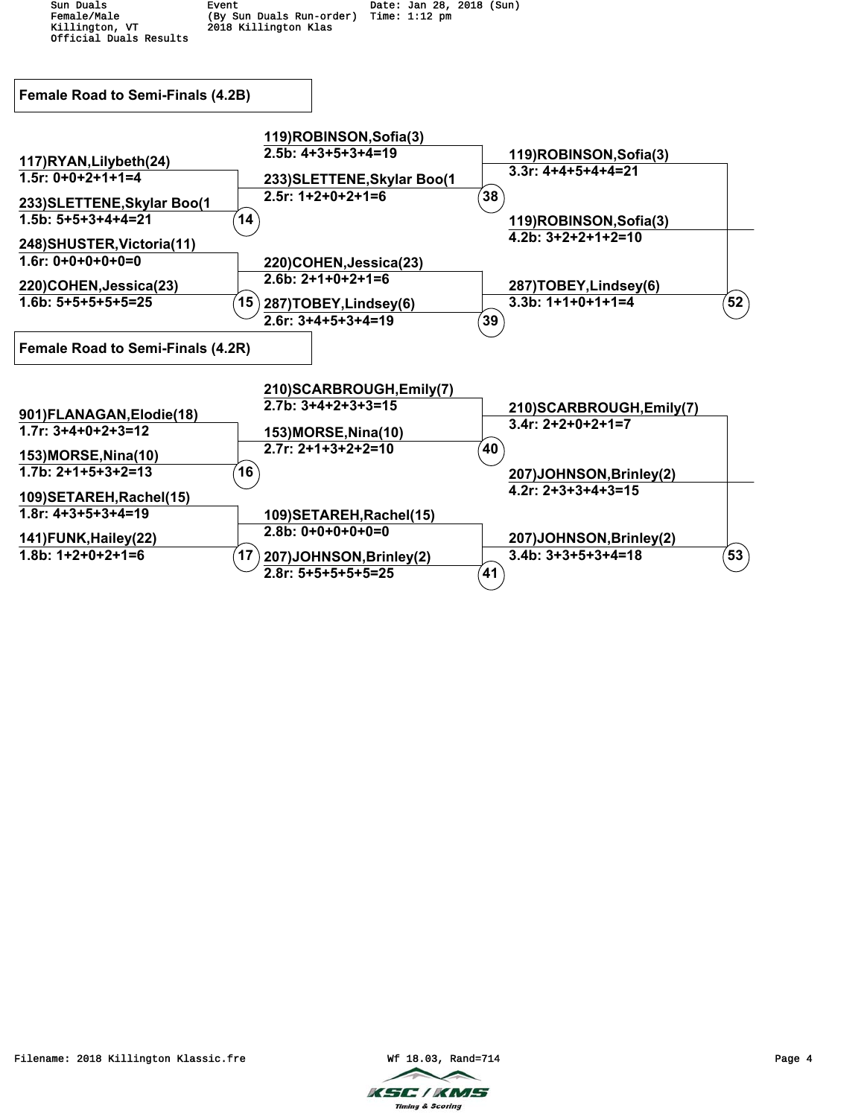